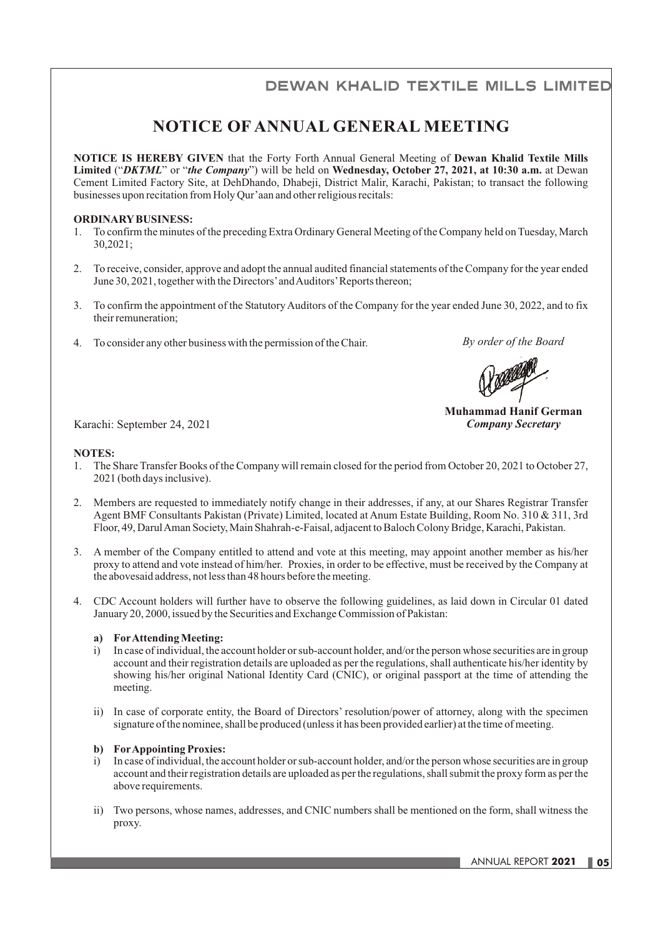# **DEWAN KHALID TEXTILE MILLS LIMITED**

## **NOTICE OF ANNUAL GENERAL MEETING**

**NOTICE IS HEREBY GIVEN** that the Forty Forth Annual General Meeting of **Dewan Khalid Textile Mills Limited** ("*DKTML*" or "*the Company*") will be held on **Wednesday, October 27, 2021, at 10:30 a.m.** at Dewan Cement Limited Factory Site, at DehDhando, Dhabeji, District Malir, Karachi, Pakistan; to transact the following businesses upon recitation from Holy Qur'aan and other religious recitals:

#### **ORDINARY BUSINESS:**

- 1. To confirm the minutes of the preceding Extra Ordinary General Meeting of the Company held on Tuesday, March 30,2021;
- 2. To receive, consider, approve and adopt the annual audited financial statements of the Company for the year ended June 30, 2021, together with the Directors' and Auditors' Reports thereon;
- 3. To confirm the appointment of the Statutory Auditors of the Company for the year ended June 30, 2022, and to fix their remuneration;
- 4. To consider any other business with the permission of the Chair.

*By order of the Board*

**Muhammad Hanif German**

Karachi: September 24, 2021 *Company Secretary*

#### **NOTES:**

- 1. The Share Transfer Books of the Company will remain closed for the period from October 20, 2021 to October 27, 2021 (both days inclusive).
- 2. Members are requested to immediately notify change in their addresses, if any, at our Shares Registrar Transfer Agent BMF Consultants Pakistan (Private) Limited, located at Anum Estate Building, Room No. 310 & 311, 3rd Floor, 49, Darul Aman Society, Main Shahrah-e-Faisal, adjacent to Baloch Colony Bridge, Karachi, Pakistan.
- 3. A member of the Company entitled to attend and vote at this meeting, may appoint another member as his/her proxy to attend and vote instead of him/her. Proxies, in order to be effective, must be received by the Company at the abovesaid address, not less than 48 hours before the meeting.
- 4. CDC Account holders will further have to observe the following guidelines, as laid down in Circular 01 dated January 20, 2000, issued by the Securities and Exchange Commission of Pakistan:

#### **a) For Attending Meeting:**

- i) In case of individual, the account holder or sub-account holder, and/or the person whose securities are in group account and their registration details are uploaded as per the regulations, shall authenticate his/her identity by showing his/her original National Identity Card (CNIC), or original passport at the time of attending the meeting.
- ii) In case of corporate entity, the Board of Directors' resolution/power of attorney, along with the specimen signature of the nominee, shall be produced (unless it has been provided earlier) at the time of meeting.

#### **b) For Appointing Proxies:**

- i) In case of individual, the account holder or sub-account holder, and/or the person whose securities are in group account and their registration details are uploaded as per the regulations, shall submit the proxy form as per the above requirements.
- ii) Two persons, whose names, addresses, and CNIC numbers shall be mentioned on the form, shall witness the proxy.